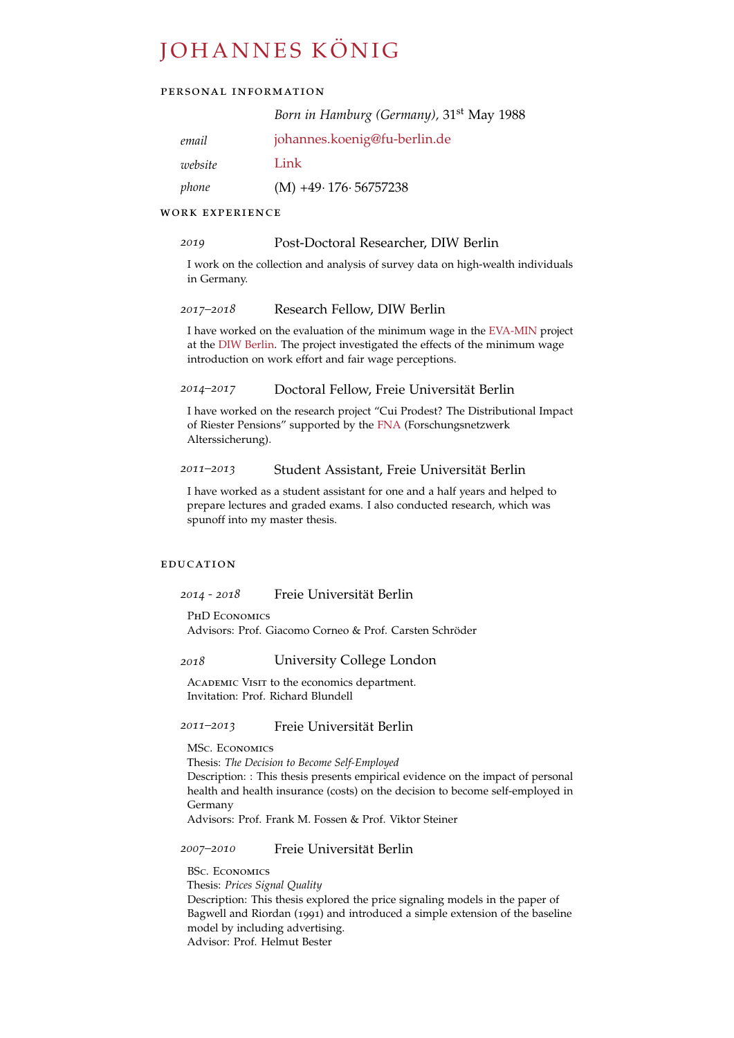# JOHANNES KÖNIG

# personal information

|         | Born in Hamburg (Germany), 31 <sup>st</sup> May 1988 |
|---------|------------------------------------------------------|
| email   | johannes.koenig@fu-berlin.de                         |
| website | Link                                                 |
| phone   | $(M) +49.176.56757238$                               |

# WORK EXPERIENCE

#### *2019* Post-Doctoral Researcher, DIW Berlin

I work on the collection and analysis of survey data on high-wealth individuals in Germany.

### *2017–2018* Research Fellow, DIW Berlin

I have worked on the evaluation of the minimum wage in the [EVA-MIN](https://eva-min.soep.de/) project at the [DIW Berlin.](http://www.diw.de/en) The project investigated the effects of the minimum wage introduction on work effort and fair wage perceptions.

#### *2014–2017* Doctoral Fellow, Freie Universitat Berlin ¨

I have worked on the research project "Cui Prodest? The Distributional Impact of Riester Pensions" supported by the [FNA](http:\www.fna-rv.de) (Forschungsnetzwerk Alterssicherung).

#### *2011–2013* Student Assistant, Freie Universitat Berlin ¨

I have worked as a student assistant for one and a half years and helped to prepare lectures and graded exams. I also conducted research, which was spunoff into my master thesis.

#### **EDUCATION**

*2014 - 2018* Freie Universitat Berlin ¨

PhD Economics

Advisors: Prof. Giacomo Corneo & Prof. Carsten Schroder ¨

# *2018* University College London

ACADEMIC VISIT to the economics department. Invitation: Prof. Richard Blundell

# *2011–2013* Freie Universitat Berlin ¨

MSc. Economics

Thesis: *The Decision to Become Self-Employed*

Description: : This thesis presents empirical evidence on the impact of personal health and health insurance (costs) on the decision to become self-employed in Germany

Advisors: Prof. Frank M. Fossen & Prof. Viktor Steiner

# *2007–2010* Freie Universitat Berlin ¨

BSc. Economics Thesis: *Prices Signal Quality* Description: This thesis explored the price signaling models in the paper of Bagwell and Riordan (1991) and introduced a simple extension of the baseline model by including advertising. Advisor: Prof. Helmut Bester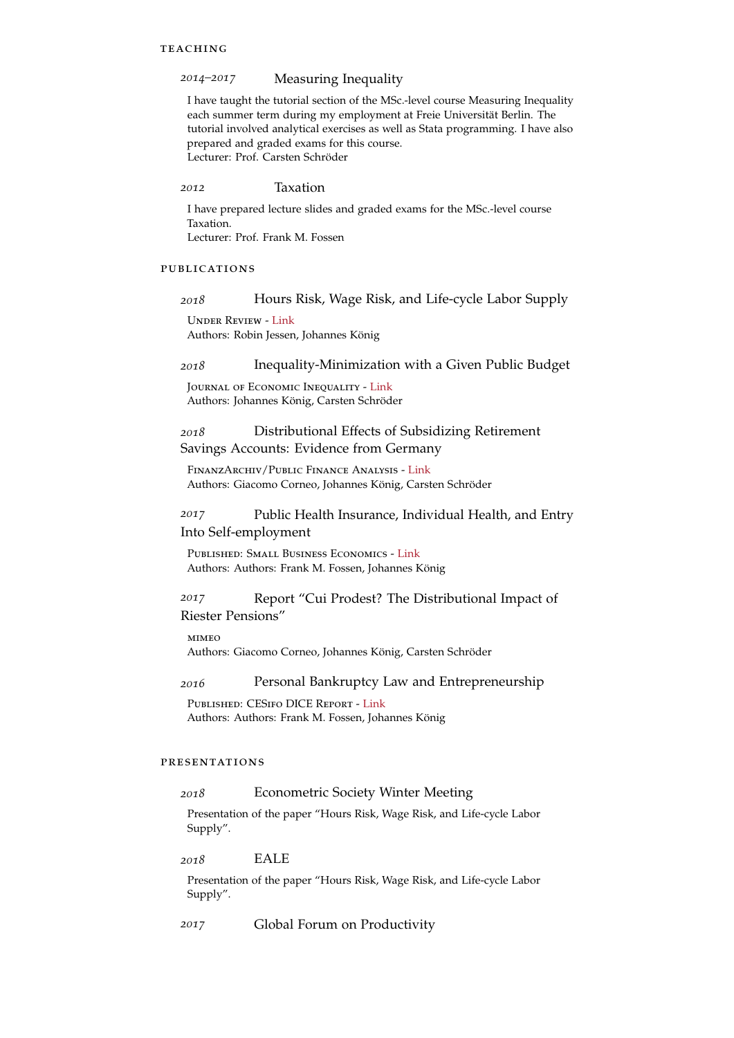#### **TEACHING**

#### *2014–2017* Measuring Inequality

I have taught the tutorial section of the MSc.-level course Measuring Inequality each summer term during my employment at Freie Universität Berlin. The tutorial involved analytical exercises as well as Stata programming. I have also prepared and graded exams for this course. Lecturer: Prof. Carsten Schröder

*2012* Taxation

I have prepared lecture slides and graded exams for the MSc.-level course Taxation. Lecturer: Prof. Frank M. Fossen

#### publications

#### *2018* Hours Risk, Wage Risk, and Life-cycle Labor Supply

Under Review - [Link](https://drive.google.com/open?id=0Bw-nyHlJBh4deVhJc0ZOdUNyV2s) Authors: Robin Jessen, Johannes König

#### *2018* Inequality-Minimization with a Given Public Budget

Journal of Economic Inequality - [Link](https://doi.org/10.1007/s10888-018-9380-3) Authors: Johannes König, Carsten Schröder

# *2018* Distributional Effects of Subsidizing Retirement Savings Accounts: Evidence from Germany

FinanzArchiv/Public Finance Analysis - [Link](http://www.ingentaconnect.com/content/mohr/fa/pre-prints/content-fa-id9823) Authors: Giacomo Corneo, Johannes König, Carsten Schröder

# *2017* Public Health Insurance, Individual Health, and Entry Into Self-employment

Published: Small Business Economics - [Link](https://link.springer.com/article/10.1007/s11187-017-9843-0) Authors: Authors: Frank M. Fossen, Johannes König

# *2017* Report "Cui Prodest? The Distributional Impact of Riester Pensions"

**MIMEO** 

Authors: Giacomo Corneo, Johannes König, Carsten Schröder

#### *2016* Personal Bankruptcy Law and Entrepreneurship

Published: CESifo DICE Report - [Link](http://www.cesifo-group.info/DocDL/dice-report-2015-4-fossen-koenig-december.pdf) Authors: Authors: Frank M. Fossen, Johannes König

# presentations

#### *2018* Econometric Society Winter Meeting

Presentation of the paper "Hours Risk, Wage Risk, and Life-cycle Labor Supply".

*2018* EALE

Presentation of the paper "Hours Risk, Wage Risk, and Life-cycle Labor Supply".

*2017* Global Forum on Productivity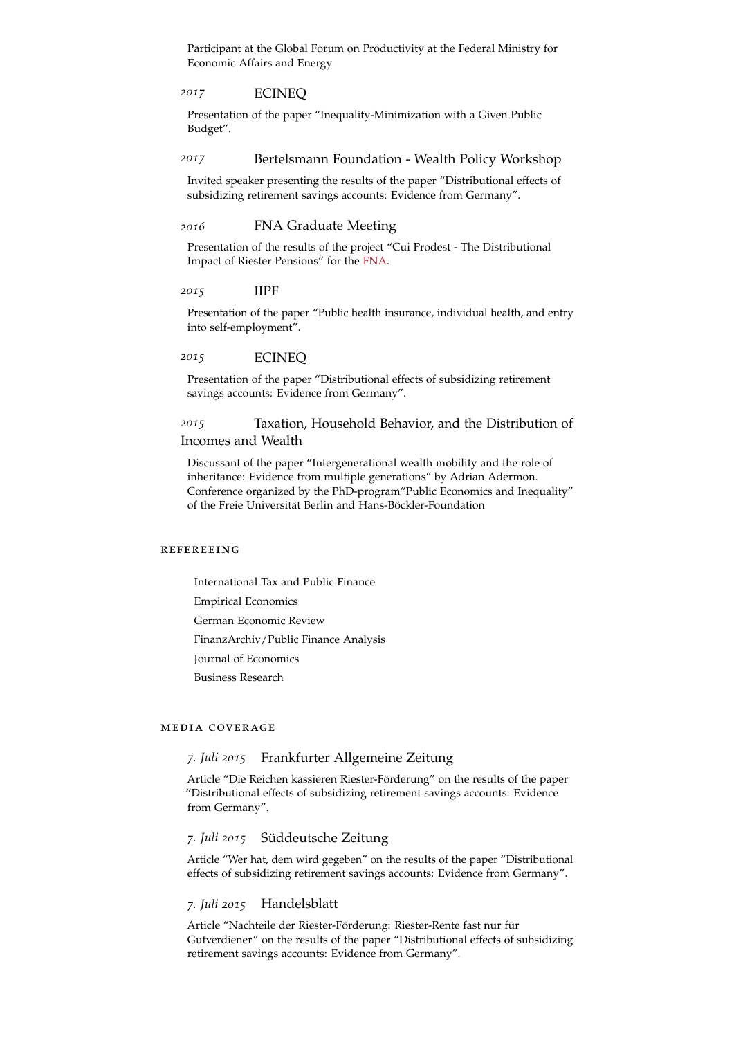Participant at the Global Forum on Productivity at the Federal Ministry for Economic Affairs and Energy

#### *2017* ECINEQ

Presentation of the paper "Inequality-Minimization with a Given Public Budget".

#### *2017* Bertelsmann Foundation - Wealth Policy Workshop

Invited speaker presenting the results of the paper "Distributional effects of subsidizing retirement savings accounts: Evidence from Germany".

### *2016* FNA Graduate Meeting

Presentation of the results of the project "Cui Prodest - The Distributional Impact of Riester Pensions" for the [FNA.](http:\www.fna-rv.de)

#### *2015* IIPF

Presentation of the paper "Public health insurance, individual health, and entry into self-employment".

#### *2015* ECINEQ

Presentation of the paper "Distributional effects of subsidizing retirement savings accounts: Evidence from Germany".

# *2015* Taxation, Household Behavior, and the Distribution of Incomes and Wealth

Discussant of the paper "Intergenerational wealth mobility and the role of inheritance: Evidence from multiple generations" by Adrian Adermon. Conference organized by the PhD-program"Public Economics and Inequality" of the Freie Universität Berlin and Hans-Böckler-Foundation

#### refereeing

International Tax and Public Finance Empirical Economics German Economic Review FinanzArchiv/Public Finance Analysis Journal of Economics Business Research

#### media coverage

#### *7. Juli 2015* Frankfurter Allgemeine Zeitung

Article "Die Reichen kassieren Riester-Förderung" on the results of the paper "Distributional effects of subsidizing retirement savings accounts: Evidence from Germany".

# *7. Juli 2015* Suddeutsche Zeitung ¨

Article "Wer hat, dem wird gegeben" on the results of the paper "Distributional effects of subsidizing retirement savings accounts: Evidence from Germany".

#### *7. Juli 2015* Handelsblatt

Article "Nachteile der Riester-Förderung: Riester-Rente fast nur für Gutverdiener" on the results of the paper "Distributional effects of subsidizing retirement savings accounts: Evidence from Germany".